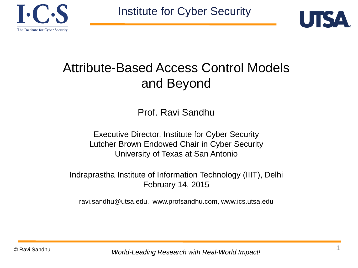



### Attribute-Based Access Control Models and Beyond

Prof. Ravi Sandhu

Executive Director, Institute for Cyber Security Lutcher Brown Endowed Chair in Cyber Security University of Texas at San Antonio

Indraprastha Institute of Information Technology (IIIT), Delhi February 14, 2015

ravi.sandhu@utsa.edu, www.profsandhu.com, www.ics.utsa.edu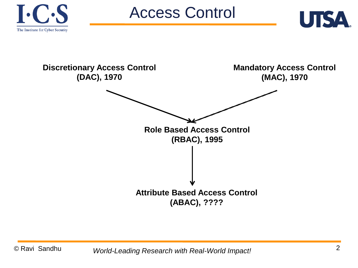





Access Control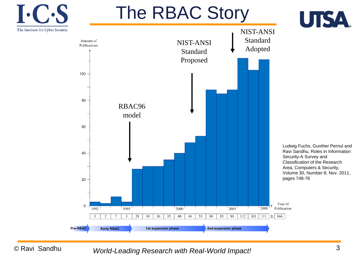

© Ravi Sandhu *World-Leading Research with Real-World Impact!* 3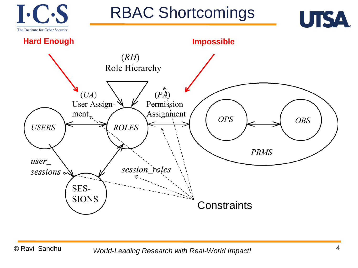

RBAC Shortcomings



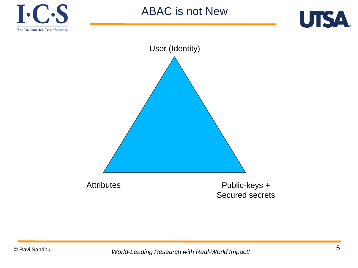



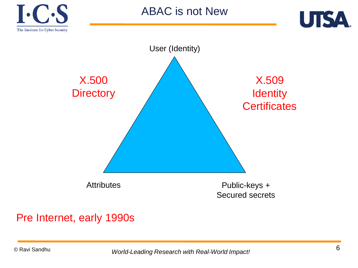





#### Pre Internet, early 1990s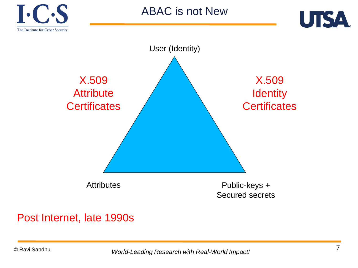





#### Post Internet, late 1990s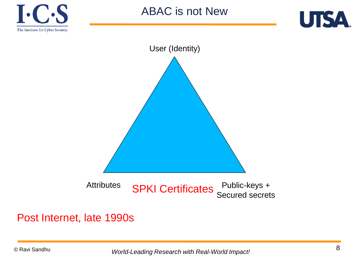





#### Post Internet, late 1990s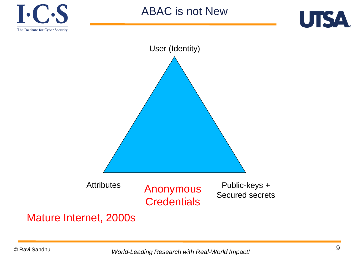





#### Mature Internet, 2000s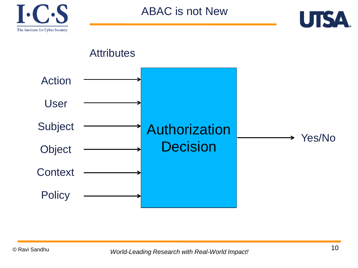

ABAC is not New



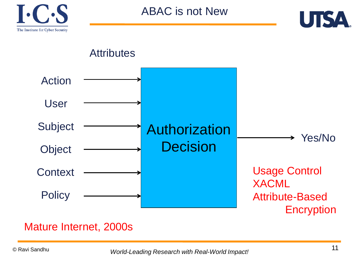

ABAC is not New





#### Mature Internet, 2000s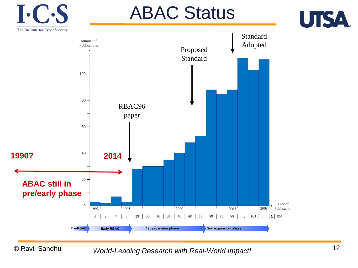

# ABAC Status





© Ravi Sandhu *World* <sup>12</sup> *-Leading Research with Real-World Impact!*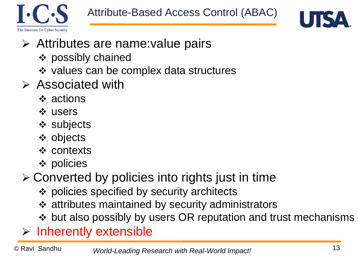



- Attributes are name:value pairs
	- possibly chained
	- ❖ values can be complex data structures
- $\triangleright$  Associated with
	- actions
	- **☆ users**
	- subjects
	- objects
	- contexts
	- policies
- Converted by policies into rights just in time
	- policies specified by security architects
	- attributes maintained by security administrators
	- ❖ but also possibly by users OR reputation and trust mechanisms
- $\triangleright$  Inherently extensible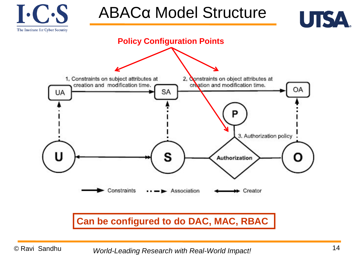

## ABACα Model Structure



#### **Can be configured to do DAC, MAC, RBAC**

*World* <sup>14</sup> *-Leading Research with Real-World Impact!*

UTSA.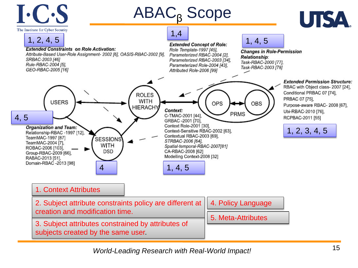

*World* <sup>15</sup> *-Leading Research with Real-World Impact!*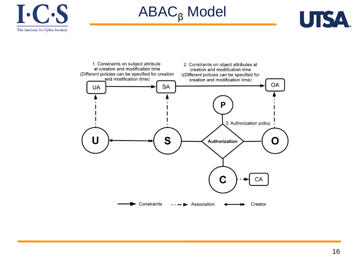

ABAC<sub>β</sub> Model



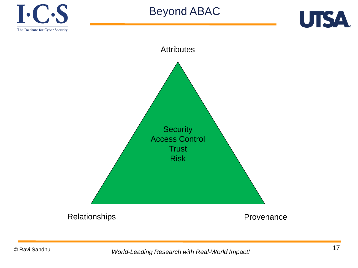